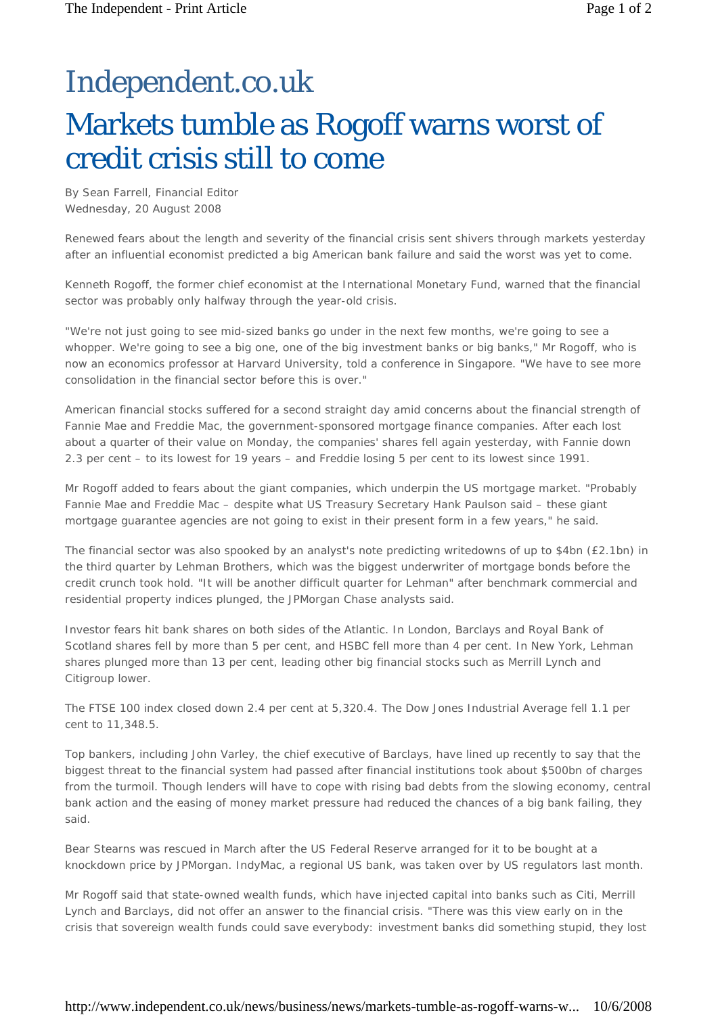## Independent.co.uk Markets tumble as Rogoff warns worst of credit crisis still to come

By Sean Farrell, Financial Editor *Wednesday, 20 August 2008*

Renewed fears about the length and severity of the financial crisis sent shivers through markets yesterday after an influential economist predicted a big American bank failure and said the worst was yet to come.

Kenneth Rogoff, the former chief economist at the International Monetary Fund, warned that the financial sector was probably only halfway through the year-old crisis.

"We're not just going to see mid-sized banks go under in the next few months, we're going to see a whopper. We're going to see a big one, one of the big investment banks or big banks," Mr Rogoff, who is now an economics professor at Harvard University, told a conference in Singapore. "We have to see more consolidation in the financial sector before this is over."

American financial stocks suffered for a second straight day amid concerns about the financial strength of Fannie Mae and Freddie Mac, the government-sponsored mortgage finance companies. After each lost about a quarter of their value on Monday, the companies' shares fell again yesterday, with Fannie down 2.3 per cent – to its lowest for 19 years – and Freddie losing 5 per cent to its lowest since 1991.

Mr Rogoff added to fears about the giant companies, which underpin the US mortgage market. "Probably Fannie Mae and Freddie Mac – despite what US Treasury Secretary Hank Paulson said – these giant mortgage guarantee agencies are not going to exist in their present form in a few years," he said.

The financial sector was also spooked by an analyst's note predicting writedowns of up to \$4bn (£2.1bn) in the third quarter by Lehman Brothers, which was the biggest underwriter of mortgage bonds before the credit crunch took hold. "It will be another difficult quarter for Lehman" after benchmark commercial and residential property indices plunged, the JPMorgan Chase analysts said.

Investor fears hit bank shares on both sides of the Atlantic. In London, Barclays and Royal Bank of Scotland shares fell by more than 5 per cent, and HSBC fell more than 4 per cent. In New York, Lehman shares plunged more than 13 per cent, leading other big financial stocks such as Merrill Lynch and Citigroup lower.

The FTSE 100 index closed down 2.4 per cent at 5,320.4. The Dow Jones Industrial Average fell 1.1 per cent to 11,348.5.

Top bankers, including John Varley, the chief executive of Barclays, have lined up recently to say that the biggest threat to the financial system had passed after financial institutions took about \$500bn of charges from the turmoil. Though lenders will have to cope with rising bad debts from the slowing economy, central bank action and the easing of money market pressure had reduced the chances of a big bank failing, they said.

Bear Stearns was rescued in March after the US Federal Reserve arranged for it to be bought at a knockdown price by JPMorgan. IndyMac, a regional US bank, was taken over by US regulators last month.

Mr Rogoff said that state-owned wealth funds, which have injected capital into banks such as Citi, Merrill Lynch and Barclays, did not offer an answer to the financial crisis. "There was this view early on in the crisis that sovereign wealth funds could save everybody: investment banks did something stupid, they lost